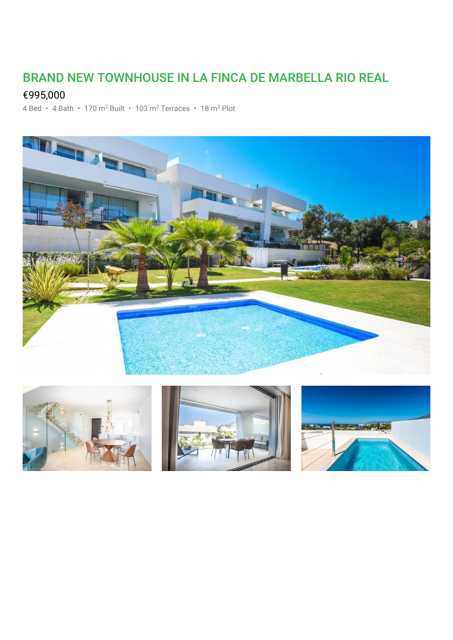## BRAND NEW TOWNHOUSE IN LA FINCA DE MARBELLA RIO REAL

## €995,000

4 Bed • 4 Bath • 170 m<sup>2</sup> Built • 103 m<sup>2</sup> Terraces • 18 m<sup>2</sup> Plot